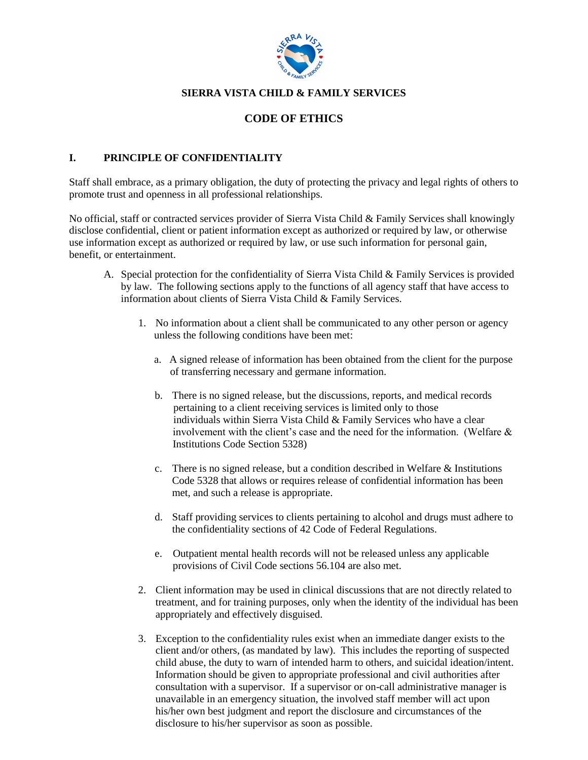

## **SIERRA VISTA CHILD & FAMILY SERVICES**

# **CODE OF ETHICS**

#### **I. PRINCIPLE OF CONFIDENTIALITY**

Staff shall embrace, as a primary obligation, the duty of protecting the privacy and legal rights of others to promote trust and openness in all professional relationships.

No official, staff or contracted services provider of Sierra Vista Child & Family Services shall knowingly disclose confidential, client or patient information except as authorized or required by law, or otherwise use information except as authorized or required by law, or use such information for personal gain, benefit, or entertainment.

- A. Special protection for the confidentiality of Sierra Vista Child & Family Services is provided by law. The following sections apply to the functions of all agency staff that have access to information about clients of Sierra Vista Child & Family Services.
	- 1. No information about a client shall be communicated to any other person or agency unless the following conditions have been met:
		- a. A signed release of information has been obtained from the client for the purpose of transferring necessary and germane information.
		- b. There is no signed release, but the discussions, reports, and medical records pertaining to a client receiving services is limited only to those individuals within Sierra Vista Child & Family Services who have a clear involvement with the client's case and the need for the information. (Welfare  $\&$ Institutions Code Section 5328)
		- c. There is no signed release, but a condition described in Welfare & Institutions Code 5328 that allows or requires release of confidential information has been met, and such a release is appropriate.
		- d. Staff providing services to clients pertaining to alcohol and drugs must adhere to the confidentiality sections of 42 Code of Federal Regulations.
		- e. Outpatient mental health records will not be released unless any applicable provisions of Civil Code sections 56.104 are also met.
	- 2. Client information may be used in clinical discussions that are not directly related to treatment, and for training purposes, only when the identity of the individual has been appropriately and effectively disguised.
	- 3. Exception to the confidentiality rules exist when an immediate danger exists to the client and/or others, (as mandated by law). This includes the reporting of suspected child abuse, the duty to warn of intended harm to others, and suicidal ideation/intent. Information should be given to appropriate professional and civil authorities after consultation with a supervisor. If a supervisor or on-call administrative manager is unavailable in an emergency situation, the involved staff member will act upon his/her own best judgment and report the disclosure and circumstances of the disclosure to his/her supervisor as soon as possible.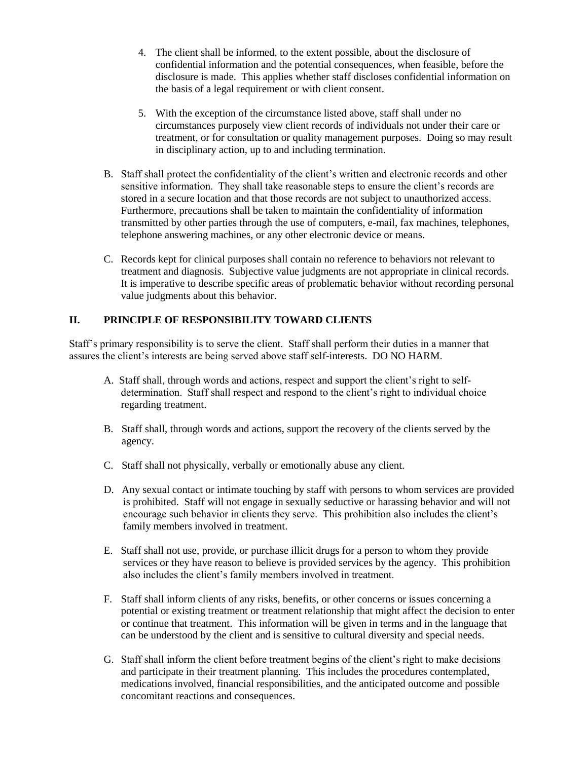- 4. The client shall be informed, to the extent possible, about the disclosure of confidential information and the potential consequences, when feasible, before the disclosure is made. This applies whether staff discloses confidential information on the basis of a legal requirement or with client consent.
- 5. With the exception of the circumstance listed above, staff shall under no circumstances purposely view client records of individuals not under their care or treatment, or for consultation or quality management purposes. Doing so may result in disciplinary action, up to and including termination.
- B. Staff shall protect the confidentiality of the client's written and electronic records and other sensitive information. They shall take reasonable steps to ensure the client's records are stored in a secure location and that those records are not subject to unauthorized access. Furthermore, precautions shall be taken to maintain the confidentiality of information transmitted by other parties through the use of computers, e-mail, fax machines, telephones, telephone answering machines, or any other electronic device or means.
- C. Records kept for clinical purposes shall contain no reference to behaviors not relevant to treatment and diagnosis. Subjective value judgments are not appropriate in clinical records. It is imperative to describe specific areas of problematic behavior without recording personal value judgments about this behavior.

## **II. PRINCIPLE OF RESPONSIBILITY TOWARD CLIENTS**

Staff's primary responsibility is to serve the client. Staff shall perform their duties in a manner that assures the client's interests are being served above staff self-interests. DO NO HARM.

- A. Staff shall, through words and actions, respect and support the client's right to selfdetermination. Staff shall respect and respond to the client's right to individual choice regarding treatment.
- B. Staff shall, through words and actions, support the recovery of the clients served by the agency.
- C. Staff shall not physically, verbally or emotionally abuse any client.
- D. Any sexual contact or intimate touching by staff with persons to whom services are provided is prohibited. Staff will not engage in sexually seductive or harassing behavior and will not encourage such behavior in clients they serve. This prohibition also includes the client's family members involved in treatment.
- E. Staff shall not use, provide, or purchase illicit drugs for a person to whom they provide services or they have reason to believe is provided services by the agency. This prohibition also includes the client's family members involved in treatment.
- F. Staff shall inform clients of any risks, benefits, or other concerns or issues concerning a potential or existing treatment or treatment relationship that might affect the decision to enter or continue that treatment. This information will be given in terms and in the language that can be understood by the client and is sensitive to cultural diversity and special needs.
- G. Staff shall inform the client before treatment begins of the client's right to make decisions and participate in their treatment planning. This includes the procedures contemplated, medications involved, financial responsibilities, and the anticipated outcome and possible concomitant reactions and consequences.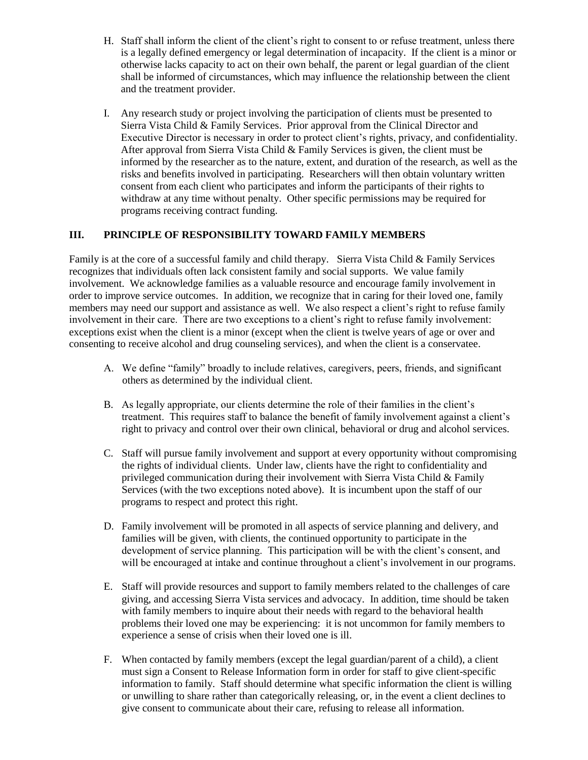- H. Staff shall inform the client of the client's right to consent to or refuse treatment, unless there is a legally defined emergency or legal determination of incapacity. If the client is a minor or otherwise lacks capacity to act on their own behalf, the parent or legal guardian of the client shall be informed of circumstances, which may influence the relationship between the client and the treatment provider.
- I. Any research study or project involving the participation of clients must be presented to Sierra Vista Child & Family Services. Prior approval from the Clinical Director and Executive Director is necessary in order to protect client's rights, privacy, and confidentiality. After approval from Sierra Vista Child & Family Services is given, the client must be informed by the researcher as to the nature, extent, and duration of the research, as well as the risks and benefits involved in participating. Researchers will then obtain voluntary written consent from each client who participates and inform the participants of their rights to withdraw at any time without penalty. Other specific permissions may be required for programs receiving contract funding.

## **III. PRINCIPLE OF RESPONSIBILITY TOWARD FAMILY MEMBERS**

Family is at the core of a successful family and child therapy. Sierra Vista Child & Family Services recognizes that individuals often lack consistent family and social supports. We value family involvement. We acknowledge families as a valuable resource and encourage family involvement in order to improve service outcomes. In addition, we recognize that in caring for their loved one, family members may need our support and assistance as well. We also respect a client's right to refuse family involvement in their care. There are two exceptions to a client's right to refuse family involvement: exceptions exist when the client is a minor (except when the client is twelve years of age or over and consenting to receive alcohol and drug counseling services), and when the client is a conservatee.

- A. We define "family" broadly to include relatives, caregivers, peers, friends, and significant others as determined by the individual client.
- B. As legally appropriate, our clients determine the role of their families in the client's treatment. This requires staff to balance the benefit of family involvement against a client's right to privacy and control over their own clinical, behavioral or drug and alcohol services.
- C. Staff will pursue family involvement and support at every opportunity without compromising the rights of individual clients. Under law, clients have the right to confidentiality and privileged communication during their involvement with Sierra Vista Child & Family Services (with the two exceptions noted above). It is incumbent upon the staff of our programs to respect and protect this right.
- D. Family involvement will be promoted in all aspects of service planning and delivery, and families will be given, with clients, the continued opportunity to participate in the development of service planning. This participation will be with the client's consent, and will be encouraged at intake and continue throughout a client's involvement in our programs.
- E. Staff will provide resources and support to family members related to the challenges of care giving, and accessing Sierra Vista services and advocacy. In addition, time should be taken with family members to inquire about their needs with regard to the behavioral health problems their loved one may be experiencing: it is not uncommon for family members to experience a sense of crisis when their loved one is ill.
- F. When contacted by family members (except the legal guardian/parent of a child), a client must sign a Consent to Release Information form in order for staff to give client-specific information to family. Staff should determine what specific information the client is willing or unwilling to share rather than categorically releasing, or, in the event a client declines to give consent to communicate about their care, refusing to release all information.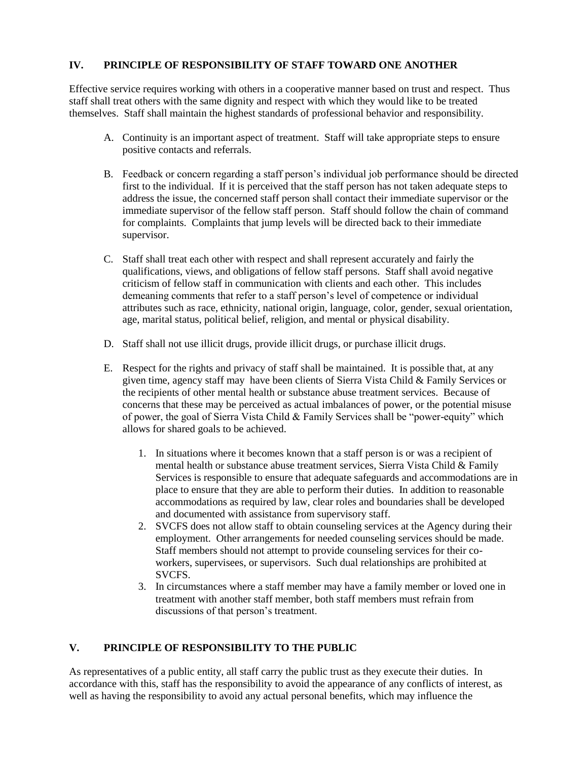#### **IV. PRINCIPLE OF RESPONSIBILITY OF STAFF TOWARD ONE ANOTHER**

Effective service requires working with others in a cooperative manner based on trust and respect. Thus staff shall treat others with the same dignity and respect with which they would like to be treated themselves. Staff shall maintain the highest standards of professional behavior and responsibility.

- A. Continuity is an important aspect of treatment. Staff will take appropriate steps to ensure positive contacts and referrals.
- B. Feedback or concern regarding a staff person's individual job performance should be directed first to the individual. If it is perceived that the staff person has not taken adequate steps to address the issue, the concerned staff person shall contact their immediate supervisor or the immediate supervisor of the fellow staff person. Staff should follow the chain of command for complaints. Complaints that jump levels will be directed back to their immediate supervisor.
- C. Staff shall treat each other with respect and shall represent accurately and fairly the qualifications, views, and obligations of fellow staff persons. Staff shall avoid negative criticism of fellow staff in communication with clients and each other. This includes demeaning comments that refer to a staff person's level of competence or individual attributes such as race, ethnicity, national origin, language, color, gender, sexual orientation, age, marital status, political belief, religion, and mental or physical disability.
- D. Staff shall not use illicit drugs, provide illicit drugs, or purchase illicit drugs.
- E. Respect for the rights and privacy of staff shall be maintained. It is possible that, at any given time, agency staff may have been clients of Sierra Vista Child & Family Services or the recipients of other mental health or substance abuse treatment services. Because of concerns that these may be perceived as actual imbalances of power, or the potential misuse of power, the goal of Sierra Vista Child & Family Services shall be "power-equity" which allows for shared goals to be achieved.
	- 1. In situations where it becomes known that a staff person is or was a recipient of mental health or substance abuse treatment services, Sierra Vista Child & Family Services is responsible to ensure that adequate safeguards and accommodations are in place to ensure that they are able to perform their duties. In addition to reasonable accommodations as required by law, clear roles and boundaries shall be developed and documented with assistance from supervisory staff.
	- 2. SVCFS does not allow staff to obtain counseling services at the Agency during their employment. Other arrangements for needed counseling services should be made. Staff members should not attempt to provide counseling services for their coworkers, supervisees, or supervisors. Such dual relationships are prohibited at SVCFS.
	- 3. In circumstances where a staff member may have a family member or loved one in treatment with another staff member, both staff members must refrain from discussions of that person's treatment.

## **V. PRINCIPLE OF RESPONSIBILITY TO THE PUBLIC**

As representatives of a public entity, all staff carry the public trust as they execute their duties. In accordance with this, staff has the responsibility to avoid the appearance of any conflicts of interest, as well as having the responsibility to avoid any actual personal benefits, which may influence the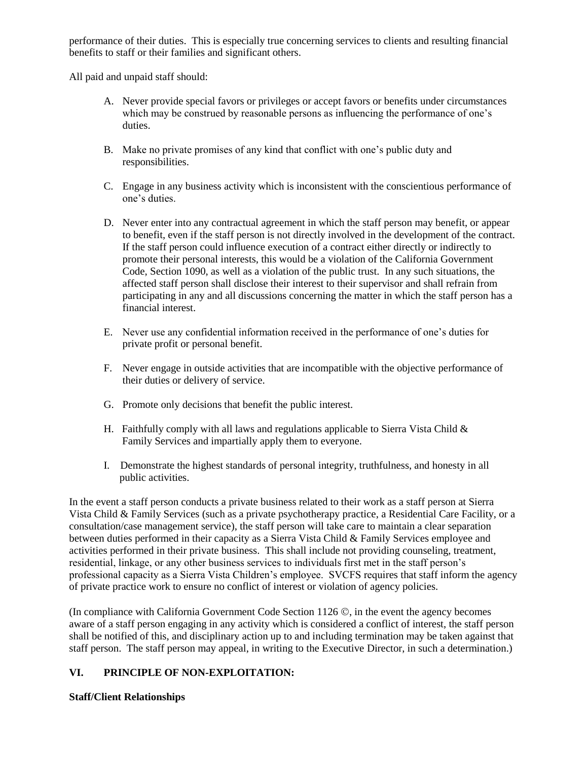performance of their duties. This is especially true concerning services to clients and resulting financial benefits to staff or their families and significant others.

All paid and unpaid staff should:

- A. Never provide special favors or privileges or accept favors or benefits under circumstances which may be construed by reasonable persons as influencing the performance of one's duties.
- B. Make no private promises of any kind that conflict with one's public duty and responsibilities.
- C. Engage in any business activity which is inconsistent with the conscientious performance of one's duties.
- D. Never enter into any contractual agreement in which the staff person may benefit, or appear to benefit, even if the staff person is not directly involved in the development of the contract. If the staff person could influence execution of a contract either directly or indirectly to promote their personal interests, this would be a violation of the California Government Code, Section 1090, as well as a violation of the public trust. In any such situations, the affected staff person shall disclose their interest to their supervisor and shall refrain from participating in any and all discussions concerning the matter in which the staff person has a financial interest.
- E. Never use any confidential information received in the performance of one's duties for private profit or personal benefit.
- F. Never engage in outside activities that are incompatible with the objective performance of their duties or delivery of service.
- G. Promote only decisions that benefit the public interest.
- H. Faithfully comply with all laws and regulations applicable to Sierra Vista Child  $\&$ Family Services and impartially apply them to everyone.
- I. Demonstrate the highest standards of personal integrity, truthfulness, and honesty in all public activities.

In the event a staff person conducts a private business related to their work as a staff person at Sierra Vista Child & Family Services (such as a private psychotherapy practice, a Residential Care Facility, or a consultation/case management service), the staff person will take care to maintain a clear separation between duties performed in their capacity as a Sierra Vista Child & Family Services employee and activities performed in their private business. This shall include not providing counseling, treatment, residential, linkage, or any other business services to individuals first met in the staff person's professional capacity as a Sierra Vista Children's employee. SVCFS requires that staff inform the agency of private practice work to ensure no conflict of interest or violation of agency policies.

(In compliance with California Government Code Section 1126 $\circledcirc$ , in the event the agency becomes aware of a staff person engaging in any activity which is considered a conflict of interest, the staff person shall be notified of this, and disciplinary action up to and including termination may be taken against that staff person. The staff person may appeal, in writing to the Executive Director, in such a determination.)

## **VI. PRINCIPLE OF NON-EXPLOITATION:**

## **Staff/Client Relationships**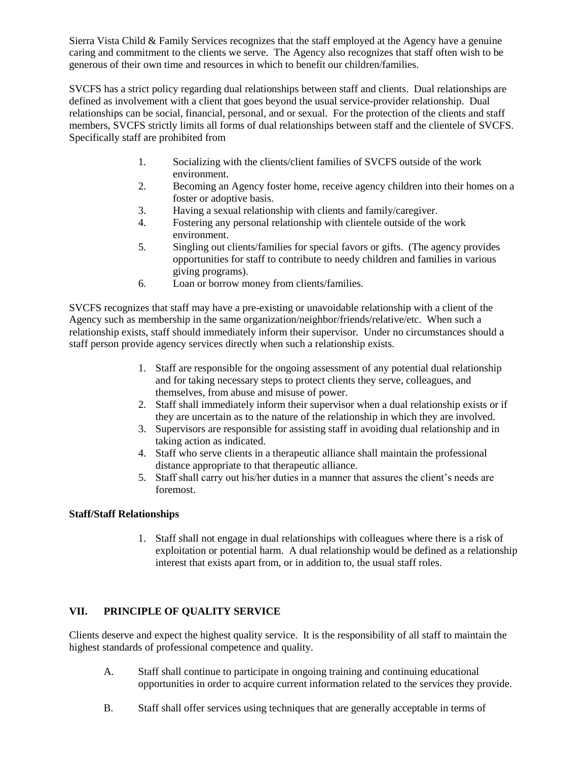Sierra Vista Child & Family Services recognizes that the staff employed at the Agency have a genuine caring and commitment to the clients we serve. The Agency also recognizes that staff often wish to be generous of their own time and resources in which to benefit our children/families.

SVCFS has a strict policy regarding dual relationships between staff and clients. Dual relationships are defined as involvement with a client that goes beyond the usual service-provider relationship. Dual relationships can be social, financial, personal, and or sexual. For the protection of the clients and staff members, SVCFS strictly limits all forms of dual relationships between staff and the clientele of SVCFS. Specifically staff are prohibited from

- 1. Socializing with the clients/client families of SVCFS outside of the work environment.
- 2. Becoming an Agency foster home, receive agency children into their homes on a foster or adoptive basis.
- 3. Having a sexual relationship with clients and family/caregiver.
- 4. Fostering any personal relationship with clientele outside of the work environment.
- 5. Singling out clients/families for special favors or gifts. (The agency provides opportunities for staff to contribute to needy children and families in various giving programs).
- 6. Loan or borrow money from clients/families.

SVCFS recognizes that staff may have a pre-existing or unavoidable relationship with a client of the Agency such as membership in the same organization/neighbor/friends/relative/etc. When such a relationship exists, staff should immediately inform their supervisor. Under no circumstances should a staff person provide agency services directly when such a relationship exists.

- 1. Staff are responsible for the ongoing assessment of any potential dual relationship and for taking necessary steps to protect clients they serve, colleagues, and themselves, from abuse and misuse of power.
- 2. Staff shall immediately inform their supervisor when a dual relationship exists or if they are uncertain as to the nature of the relationship in which they are involved.
- 3. Supervisors are responsible for assisting staff in avoiding dual relationship and in taking action as indicated.
- 4. Staff who serve clients in a therapeutic alliance shall maintain the professional distance appropriate to that therapeutic alliance.
- 5. Staff shall carry out his/her duties in a manner that assures the client's needs are foremost.

#### **Staff/Staff Relationships**

1. Staff shall not engage in dual relationships with colleagues where there is a risk of exploitation or potential harm. A dual relationship would be defined as a relationship interest that exists apart from, or in addition to, the usual staff roles.

## **VII. PRINCIPLE OF QUALITY SERVICE**

Clients deserve and expect the highest quality service. It is the responsibility of all staff to maintain the highest standards of professional competence and quality.

- A. Staff shall continue to participate in ongoing training and continuing educational opportunities in order to acquire current information related to the services they provide.
- B. Staff shall offer services using techniques that are generally acceptable in terms of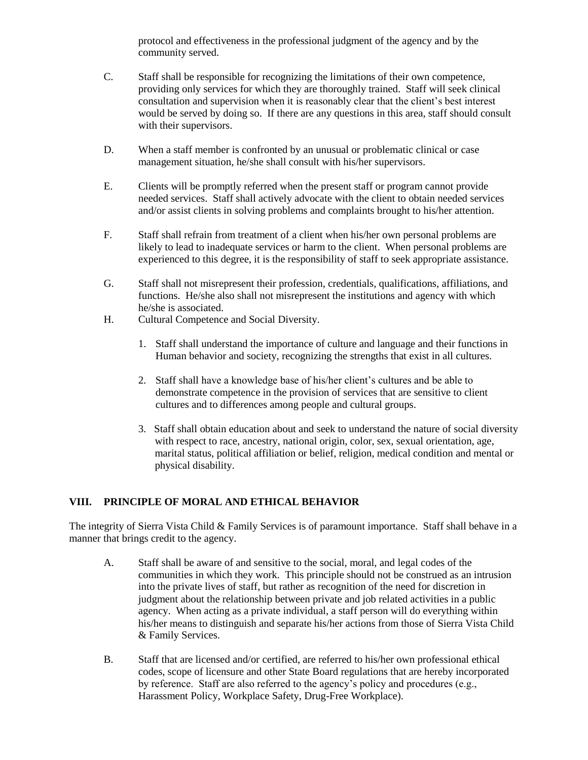protocol and effectiveness in the professional judgment of the agency and by the community served.

- C. Staff shall be responsible for recognizing the limitations of their own competence, providing only services for which they are thoroughly trained. Staff will seek clinical consultation and supervision when it is reasonably clear that the client's best interest would be served by doing so. If there are any questions in this area, staff should consult with their supervisors.
- D. When a staff member is confronted by an unusual or problematic clinical or case management situation, he/she shall consult with his/her supervisors.
- E. Clients will be promptly referred when the present staff or program cannot provide needed services. Staff shall actively advocate with the client to obtain needed services and/or assist clients in solving problems and complaints brought to his/her attention.
- F. Staff shall refrain from treatment of a client when his/her own personal problems are likely to lead to inadequate services or harm to the client. When personal problems are experienced to this degree, it is the responsibility of staff to seek appropriate assistance.
- G. Staff shall not misrepresent their profession, credentials, qualifications, affiliations, and functions. He/she also shall not misrepresent the institutions and agency with which he/she is associated.
- H. Cultural Competence and Social Diversity.
	- 1. Staff shall understand the importance of culture and language and their functions in Human behavior and society, recognizing the strengths that exist in all cultures.
	- 2. Staff shall have a knowledge base of his/her client's cultures and be able to demonstrate competence in the provision of services that are sensitive to client cultures and to differences among people and cultural groups.
	- 3. Staff shall obtain education about and seek to understand the nature of social diversity with respect to race, ancestry, national origin, color, sex, sexual orientation, age, marital status, political affiliation or belief, religion, medical condition and mental or physical disability.

## **VIII. PRINCIPLE OF MORAL AND ETHICAL BEHAVIOR**

The integrity of Sierra Vista Child & Family Services is of paramount importance. Staff shall behave in a manner that brings credit to the agency.

- A. Staff shall be aware of and sensitive to the social, moral, and legal codes of the communities in which they work. This principle should not be construed as an intrusion into the private lives of staff, but rather as recognition of the need for discretion in judgment about the relationship between private and job related activities in a public agency. When acting as a private individual, a staff person will do everything within his/her means to distinguish and separate his/her actions from those of Sierra Vista Child & Family Services.
- B. Staff that are licensed and/or certified, are referred to his/her own professional ethical codes, scope of licensure and other State Board regulations that are hereby incorporated by reference. Staff are also referred to the agency's policy and procedures (e.g., Harassment Policy, Workplace Safety, Drug-Free Workplace).